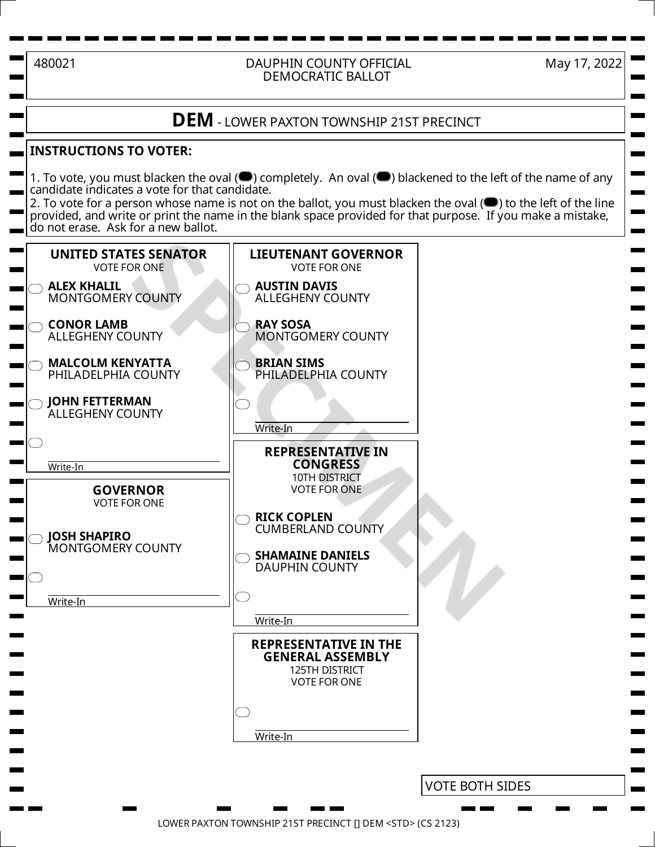## 480021 DAUPHIN COUNTY OFFICIAL DEMOCRATIC BALLOT

May 17, 2022

## **DEM** - LOWER PAXTON TOWNSHIP 21ST PRECINCT

## **INSTRUCTIONS TO VOTER:**

1. To vote, you must blacken the oval (<sup>1</sup>) completely. An oval (<sup>2</sup>) blackened to the left of the name of any candidate indicates a vote for that candidate.

2. To vote for a person whose name is not on the ballot, you must blacken the oval  $($ **)** to the left of the line provided, and write or print the name in the blank space provided for that purpose. If you make a mistake, do not erase. Ask for a new ballot.



VOTE BOTH SIDES